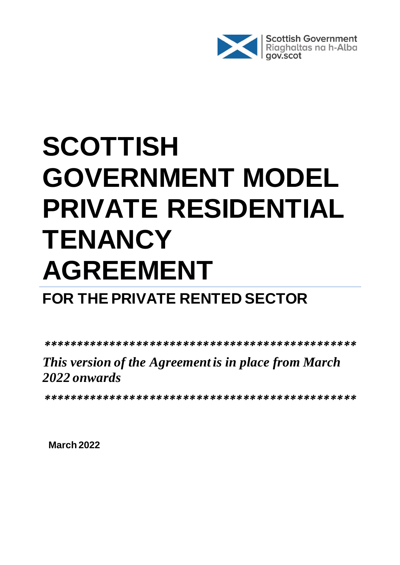

# **SCOTTISH GOVERNMENT MODEL PRIVATE RESIDENTIAL TENANCY AGREEMENT**

# **FOR THE PRIVATE RENTED SECTOR**

*\*\*\*\*\*\*\*\*\*\*\*\*\*\*\*\*\*\*\*\*\*\*\*\*\*\*\*\*\*\*\*\*\*\*\*\*\*\*\*\*\*\*\*\*\*\*\**

# *This version of the Agreement is in place from March 2022 onwards*

*\*\*\*\*\*\*\*\*\*\*\*\*\*\*\*\*\*\*\*\*\*\*\*\*\*\*\*\*\*\*\*\*\*\*\*\*\*\*\*\*\*\*\*\*\*\*\**

**March 2022**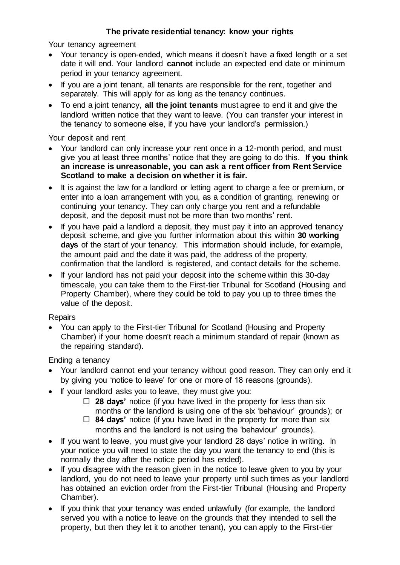#### **The private residential tenancy: know your rights**

Your tenancy agreement

- Your tenancy is open-ended, which means it doesn't have a fixed length or a set date it will end. Your landlord **cannot** include an expected end date or minimum period in your tenancy agreement.
- If you are a joint tenant, all tenants are responsible for the rent, together and separately. This will apply for as long as the tenancy continues.
- To end a joint tenancy, **all the joint tenants** must agree to end it and give the landlord written notice that they want to leave. (You can transfer your interest in the tenancy to someone else, if you have your landlord's permission.)

Your deposit and rent

- Your landlord can only increase your rent once in a 12-month period, and must give you at least three months' notice that they are going to do this. **If you think an increase is unreasonable, you can ask a rent officer from Rent Service Scotland to make a decision on whether it is fair.**
- It is against the law for a landlord or letting agent to charge a fee or premium, or enter into a loan arrangement with you, as a condition of granting, renewing or continuing your tenancy. They can only charge you rent and a refundable deposit, and the deposit must not be more than two months' rent.
- If you have paid a landlord a deposit, they must pay it into an approved tenancy deposit scheme, and give you further information about this within **30 working days** of the start of your tenancy. This information should include, for example, the amount paid and the date it was paid, the address of the property, confirmation that the landlord is registered, and contact details for the scheme.
- If your landlord has not paid your deposit into the scheme within this 30-day timescale, you can take them to the First-tier Tribunal for Scotland (Housing and Property Chamber), where they could be told to pay you up to three times the value of the deposit.

**Repairs** 

• You can apply to the First-tier Tribunal for Scotland (Housing and Property Chamber) if your home doesn't reach a minimum standard of repair (known as the repairing standard).

Ending a tenancy

- Your landlord cannot end your tenancy without good reason. They can only end it by giving you 'notice to leave' for one or more of 18 reasons (grounds).
- If your landlord asks you to leave, they must give you:
	- **28 days'** notice (if you have lived in the property for less than six months or the landlord is using one of the six 'behaviour' grounds); or
	- **84 days'** notice (if you have lived in the property for more than six months and the landlord is not using the 'behaviour' grounds).
- If you want to leave, you must give your landlord 28 days' notice in writing. In your notice you will need to state the day you want the tenancy to end (this is normally the day after the notice period has ended).
- If you disagree with the reason given in the notice to leave given to you by your landlord, you do not need to leave your property until such times as your landlord has obtained an eviction order from the First-tier Tribunal (Housing and Property Chamber).
- If you think that your tenancy was ended unlawfully (for example, the landlord served you with a notice to leave on the grounds that they intended to sell the property, but then they let it to another tenant), you can apply to the First-tier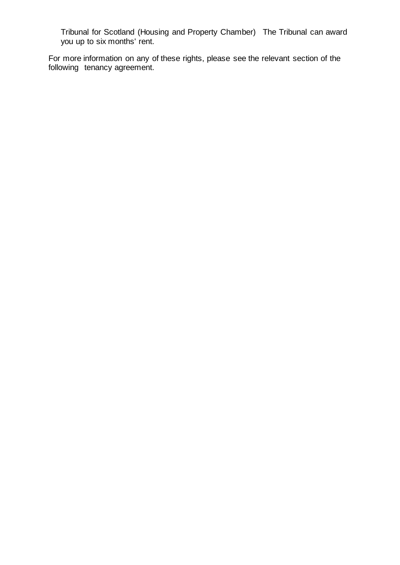Tribunal for Scotland (Housing and Property Chamber) The Tribunal can award you up to six months' rent.

For more information on any of these rights, please see the relevant section of the following tenancy agreement.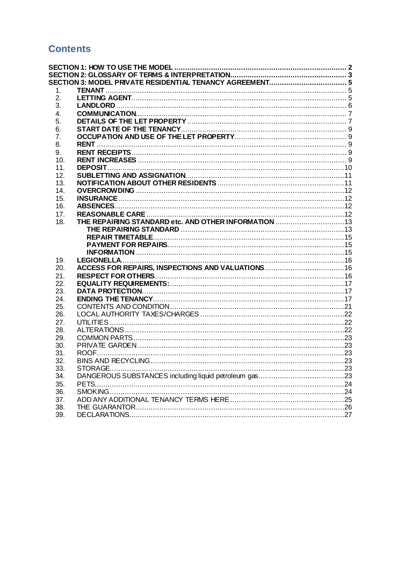# **Contents**

| 1.         |  |  |
|------------|--|--|
| 2.         |  |  |
| 3.         |  |  |
| 4.         |  |  |
| 5.         |  |  |
| 6.         |  |  |
| 7.         |  |  |
| 8.         |  |  |
| 9.         |  |  |
| 10.<br>11. |  |  |
| 12.        |  |  |
| 13.        |  |  |
| 14.        |  |  |
| 15.        |  |  |
| 16.        |  |  |
| 17.        |  |  |
| 18.        |  |  |
|            |  |  |
|            |  |  |
|            |  |  |
|            |  |  |
| 19.        |  |  |
| 20.        |  |  |
| 21.        |  |  |
| 22.        |  |  |
| 23.        |  |  |
| 24.        |  |  |
| 25.        |  |  |
| 26.        |  |  |
| 27.        |  |  |
| 28.        |  |  |
| 29.        |  |  |
| 30.        |  |  |
| 31.        |  |  |
| 32.        |  |  |
| 33.        |  |  |
| 34.        |  |  |
| 35.        |  |  |
| 36.        |  |  |
| 37.        |  |  |
| 38.        |  |  |
| 39.        |  |  |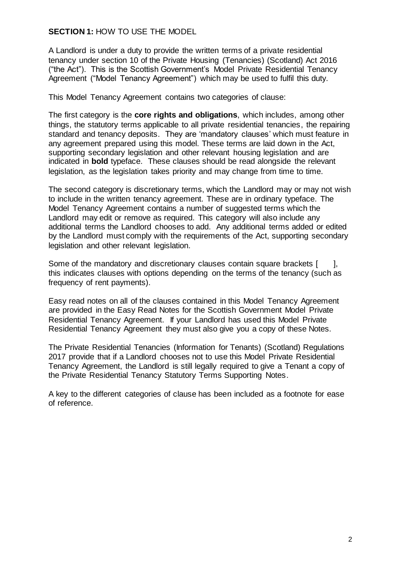#### <span id="page-4-0"></span>**SECTION 1:** HOW TO USE THE MODEL

A Landlord is under a duty to provide the written terms of a private residential tenancy under section 10 of the Private Housing (Tenancies) (Scotland) Act 2016 ("the Act"). This is the Scottish Government's Model Private Residential Tenancy Agreement ("Model Tenancy Agreement") which may be used to fulfil this duty.

This Model Tenancy Agreement contains two categories of clause:

The first category is the **core rights and obligations**, which includes, among other things, the statutory terms applicable to all private residential tenancies, the repairing standard and tenancy deposits. They are 'mandatory clauses' which must feature in any agreement prepared using this model. These terms are laid down in the Act, supporting secondary legislation and other relevant housing legislation and are indicated in **bold** typeface. These clauses should be read alongside the relevant legislation, as the legislation takes priority and may change from time to time.

The second category is discretionary terms, which the Landlord may or may not wish to include in the written tenancy agreement. These are in ordinary typeface. The Model Tenancy Agreement contains a number of suggested terms which the Landlord may edit or remove as required. This category will also include any additional terms the Landlord chooses to add. Any additional terms added or edited by the Landlord must comply with the requirements of the Act, supporting secondary legislation and other relevant legislation.

Some of the mandatory and discretionary clauses contain square brackets [ ], this indicates clauses with options depending on the terms of the tenancy (such as frequency of rent payments).

Easy read notes on all of the clauses contained in this Model Tenancy Agreement are provided in the Easy Read Notes for the Scottish Government Model Private Residential Tenancy Agreement. If your Landlord has used this Model Private Residential Tenancy Agreement they must also give you a copy of these Notes.

The Private Residential Tenancies (Information for Tenants) (Scotland) Regulations 2017 provide that if a Landlord chooses not to use this Model Private Residential Tenancy Agreement, the Landlord is still legally required to give a Tenant a copy of the Private Residential Tenancy Statutory Terms Supporting Notes.

A key to the different categories of clause has been included as a footnote for ease of reference.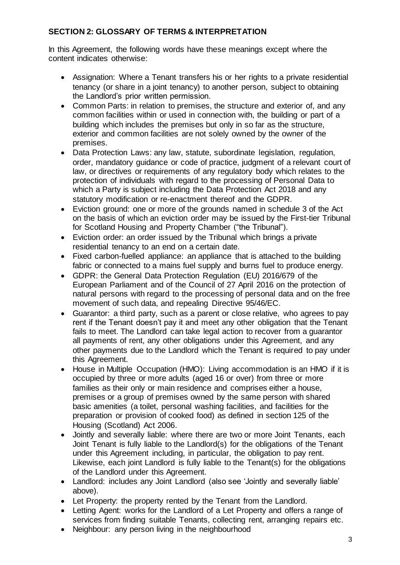#### <span id="page-5-0"></span>**SECTION 2: GLOSSARY OF TERMS & INTERPRETATION**

In this Agreement, the following words have these meanings except where the content indicates otherwise:

- Assignation: Where a Tenant transfers his or her rights to a private residential tenancy (or share in a joint tenancy) to another person, subject to obtaining the Landlord's prior written permission.
- Common Parts: in relation to premises, the structure and exterior of, and any common facilities within or used in connection with, the building or part of a building which includes the premises but only in so far as the structure, exterior and common facilities are not solely owned by the owner of the premises.
- Data Protection Laws: any law, statute, subordinate legislation, regulation, order, mandatory guidance or code of practice, judgment of a relevant court of law, or directives or requirements of any regulatory body which relates to the protection of individuals with regard to the processing of Personal Data to which a Party is subject including the Data Protection Act 2018 and any statutory modification or re-enactment thereof and the GDPR.
- Eviction ground: one or more of the grounds named in schedule 3 of the Act on the basis of which an eviction order may be issued by the First-tier Tribunal for Scotland Housing and Property Chamber ("the Tribunal").
- Eviction order: an order issued by the Tribunal which brings a private residential tenancy to an end on a certain date.
- Fixed carbon-fuelled appliance: an appliance that is attached to the building fabric or connected to a mains fuel supply and burns fuel to produce energy.
- GDPR: the General Data Protection Regulation (EU) 2016/679 of the European Parliament and of the Council of 27 April 2016 on the protection of natural persons with regard to the processing of personal data and on the free movement of such data, and repealing Directive 95/46/EC.
- Guarantor: a third party, such as a parent or close relative, who agrees to pay rent if the Tenant doesn't pay it and meet any other obligation that the Tenant fails to meet. The Landlord can take legal action to recover from a guarantor all payments of rent, any other obligations under this Agreement, and any other payments due to the Landlord which the Tenant is required to pay under this Agreement.
- House in Multiple Occupation (HMO): Living accommodation is an HMO if it is occupied by three or more adults (aged 16 or over) from three or more families as their only or main residence and comprises either a house, premises or a group of premises owned by the same person with shared basic amenities (a toilet, personal washing facilities, and facilities for the preparation or provision of cooked food) as defined in section 125 of the Housing (Scotland) Act 2006.
- Jointly and severally liable: where there are two or more Joint Tenants, each Joint Tenant is fully liable to the Landlord(s) for the obligations of the Tenant under this Agreement including, in particular, the obligation to pay rent. Likewise, each joint Landlord is fully liable to the Tenant(s) for the obligations of the Landlord under this Agreement.
- Landlord: includes any Joint Landlord (also see 'Jointly and severally liable' above).
- Let Property: the property rented by the Tenant from the Landlord.
- Letting Agent: works for the Landlord of a Let Property and offers a range of services from finding suitable Tenants, collecting rent, arranging repairs etc.
- Neighbour: any person living in the neighbourhood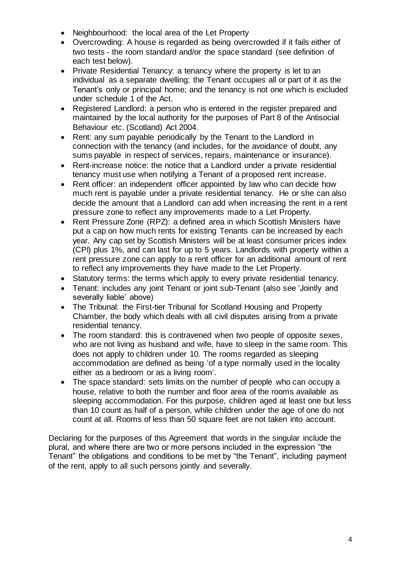- Neighbourhood: the local area of the Let Property
- Overcrowding: A house is regarded as being overcrowded if it fails either of two tests - the room standard and/or the space standard (see definition of each test below).
- Private Residential Tenancy: a tenancy where the property is let to an individual as a separate dwelling; the Tenant occupies all or part of it as the Tenant's only or principal home; and the tenancy is not one which is excluded under schedule 1 of the Act.
- Registered Landlord: a person who is entered in the register prepared and maintained by the local authority for the purposes of Part 8 of the Antisocial Behaviour etc. (Scotland) Act 2004.
- Rent: any sum payable periodically by the Tenant to the Landlord in connection with the tenancy (and includes, for the avoidance of doubt, any sums payable in respect of services, repairs, maintenance or insurance).
- Rent-increase notice: the notice that a Landlord under a private residential tenancy must use when notifying a Tenant of a proposed rent increase.
- Rent officer: an independent officer appointed by law who can decide how much rent is payable under a private residential tenancy. He or she can also decide the amount that a Landlord can add when increasing the rent in a rent pressure zone to reflect any improvements made to a Let Property.
- Rent Pressure Zone (RPZ): a defined area in which Scottish Ministers have put a cap on how much rents for existing Tenants can be increased by each year. Any cap set by Scottish Ministers will be at least consumer prices index (CPI) plus 1%, and can last for up to 5 years. Landlords with property within a rent pressure zone can apply to a rent officer for an additional amount of rent to reflect any improvements they have made to the Let Property.
- Statutory terms: the terms which apply to every private residential tenancy.
- Tenant: includes any joint Tenant or joint sub-Tenant (also see 'Jointly and severally liable' above)
- The Tribunal: the First-tier Tribunal for Scotland Housing and Property Chamber, the body which deals with all civil disputes arising from a private residential tenancy.
- The room standard: this is contravened when two people of opposite sexes, who are not living as husband and wife, have to sleep in the same room. This does not apply to children under 10. The rooms regarded as sleeping accommodation are defined as being 'of a type normally used in the locality either as a bedroom or as a living room'.
- The space standard: sets limits on the number of people who can occupy a house, relative to both the number and floor area of the rooms available as sleeping accommodation. For this purpose, children aged at least one but less than 10 count as half of a person, while children under the age of one do not count at all. Rooms of less than 50 square feet are not taken into account.

Declaring for the purposes of this Agreement that words in the singular include the plural, and where there are two or more persons included in the expression "the Tenant" the obligations and conditions to be met by "the Tenant", including payment of the rent, apply to all such persons jointly and severally.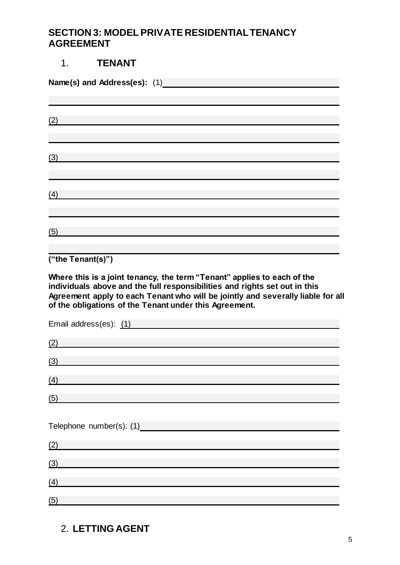#### <span id="page-7-0"></span>**SECTION 3: MODEL PRIVATE RESIDENTIAL TENANCY AGREEMENT**

# <span id="page-7-1"></span>1. **TENANT Name(s) and Address(es):** (1)  (2)  (3)  (4)   $(5)$

**("the Tenant(s)")** 

**Where this is a joint tenancy, the term "Tenant" applies to each of the individuals above and the full responsibilities and rights set out in this Agreement apply to each Tenant who will be jointly and severally liable for all of the obligations of the Tenant under this Agreement.** 

| Email address(es): (1) |  |
|------------------------|--|
| (2)                    |  |
| (3)                    |  |
| (4)                    |  |
| (5)                    |  |
|                        |  |
|                        |  |
|                        |  |
| (2)                    |  |
| (3)                    |  |
| (4)                    |  |

# <span id="page-7-2"></span>2. **LETTING AGENT**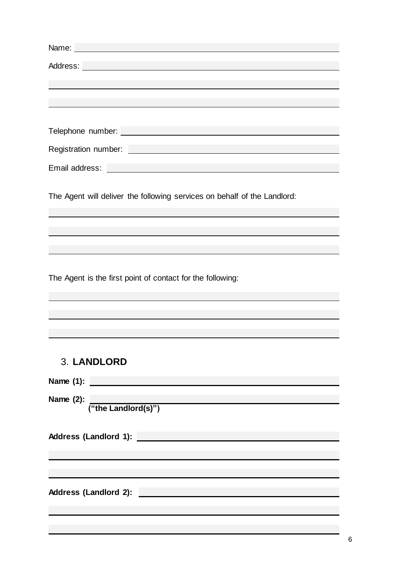| Name: Name: Name: Name: Name: Name: Name: Name: Name: Name: Name: Name: Name: Name: Name: Name: Name: Name: Name: Name: Name: Name: Name: Name: Name: Name: Name: Name: Name: Name: Name: Name: Name: Name: Name: Name: Name: |
|-------------------------------------------------------------------------------------------------------------------------------------------------------------------------------------------------------------------------------|
| Address: <u>experimental</u>                                                                                                                                                                                                  |
|                                                                                                                                                                                                                               |
|                                                                                                                                                                                                                               |
|                                                                                                                                                                                                                               |
|                                                                                                                                                                                                                               |
|                                                                                                                                                                                                                               |
|                                                                                                                                                                                                                               |
|                                                                                                                                                                                                                               |
|                                                                                                                                                                                                                               |
| The Agent will deliver the following services on behalf of the Landlord:                                                                                                                                                      |
|                                                                                                                                                                                                                               |
|                                                                                                                                                                                                                               |
|                                                                                                                                                                                                                               |
|                                                                                                                                                                                                                               |
|                                                                                                                                                                                                                               |
| The Agent is the first point of contact for the following:                                                                                                                                                                    |
|                                                                                                                                                                                                                               |
|                                                                                                                                                                                                                               |
|                                                                                                                                                                                                                               |

# <span id="page-8-0"></span>3. **LANDLORD**

| Name (1):                    |
|------------------------------|
| Name $(2)$ :                 |
| ("the Landlord(s)")          |
|                              |
| <b>Address (Landlord 1):</b> |
|                              |
|                              |
|                              |
| <b>Address (Landlord 2):</b> |
|                              |
|                              |
|                              |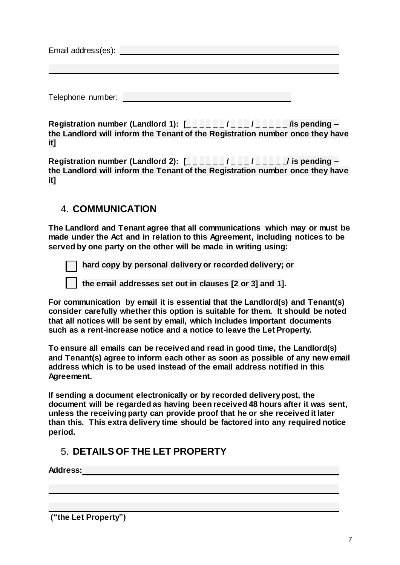| Email address(es): |  |  |
|--------------------|--|--|
|                    |  |  |
|                    |  |  |
|                    |  |  |
|                    |  |  |

**Registration number (Landlord 1): [\_ \_ \_ \_ \_ \_ / \_ \_ \_ / \_ \_ \_ \_ \_ /is pending – the Landlord will inform the Tenant of the Registration number once they have it]**

**Registration number (Landlord 2): [\_ \_ \_ \_ \_ \_ / \_ \_ \_ / \_ \_ \_ \_ \_/ is pending – the Landlord will inform the Tenant of the Registration number once they have it]**

# <span id="page-9-0"></span>4. **COMMUNICATION**

Telephone number:

**The Landlord and Tenant agree that all communications which may or must be made under the Act and in relation to this Agreement, including notices to be served by one party on the other will be made in writing using:**

 **hard copy by personal delivery or recorded delivery; or**

 **the email addresses set out in clauses [2 or 3] and 1].**

**For communication by email it is essential that the Landlord(s) and Tenant(s) consider carefully whether this option is suitable for them. It should be noted that all notices will be sent by email, which includes important documents such as a rent-increase notice and a notice to leave the Let Property.**

**To ensure all emails can be received and read in good time, the Landlord(s) and Tenant(s) agree to inform each other as soon as possible of any new email address which is to be used instead of the email address notified in this Agreement.**

**If sending a document electronically or by recorded delivery post, the document will be regarded as having been received 48 hours after it was sent, unless the receiving party can provide proof that he or she received it later than this. This extra delivery time should be factored into any required notice period.** 

# <span id="page-9-1"></span>5. **DETAILS OF THE LET PROPERTY**

**Address:**

**("the Let Property")**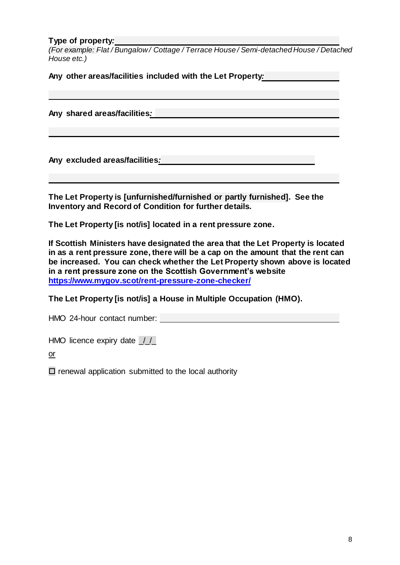#### **Type of property***:*

*(For example: Flat / Bungalow / Cottage / Terrace House / Semi-detached House / Detached House etc.)*

**Any other areas/facilities included with the Let Property***:*

**Any shared areas/facilities***:*

**Any excluded areas/facilities***:*

**The Let Property is [unfurnished/furnished or partly furnished]. See the Inventory and Record of Condition for further details.**

**The Let Property [is not/is] located in a rent pressure zone.**

**If Scottish Ministers have designated the area that the Let Property is located in as a rent pressure zone, there will be a cap on the amount that the rent can be increased. You can check whether the Let Property shown above is located in a rent pressure zone on the Scottish Government's website <https://www.mygov.scot/rent-pressure-zone-checker/>**

**The Let Property [is not/is] a House in Multiple Occupation (HMO).** 

HMO 24-hour contact number:

HMO licence expiry date  $1/2$ 

or

 $\square$  renewal application submitted to the local authority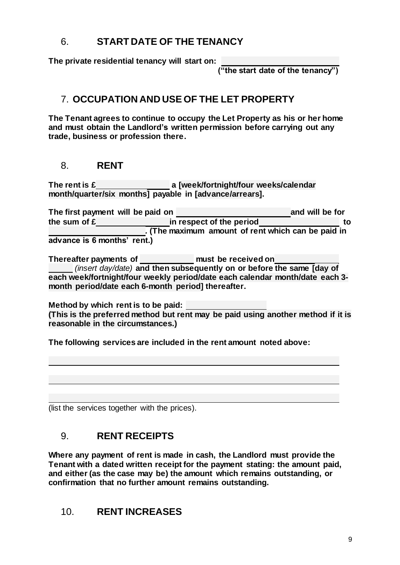# <span id="page-11-0"></span>6. **START DATE OF THE TENANCY**

**The private residential tenancy will start on:** 

**("the start date of the tenancy")**

# <span id="page-11-1"></span>7. **OCCUPATION AND USE OF THE LET PROPERTY**

**The Tenant agrees to continue to occupy the Let Property as his or her home and must obtain the Landlord's written permission before carrying out any trade, business or profession there.** 

#### <span id="page-11-2"></span>8. **RENT**

**The rent is £ a [week/fortnight/four weeks/calendar month/quarter/six months] payable in [advance/arrears].** 

| The first payment will be paid on |                                                    | and will be for |
|-----------------------------------|----------------------------------------------------|-----------------|
| the sum of £                      | in respect of the period                           | to              |
|                                   | . (The maximum amount of rent which can be paid in |                 |
| advance is 6 months' rent.)       |                                                    |                 |

**Thereafter payments of must be received on** *(insert day/date)* **and then subsequently on or before the same [day of each week/fortnight/four weekly period/date each calendar month/date each 3 month period/date each 6-month period] thereafter.**

**Method by which rent is to be paid: (This is the preferred method but rent may be paid using another method if it is reasonable in the circumstances.)**

**The following services are included in the rent amount noted above:** 

(list the services together with the prices).

#### <span id="page-11-3"></span>9. **RENT RECEIPTS**

**Where any payment of rent is made in cash, the Landlord must provide the Tenant with a dated written receipt for the payment stating: the amount paid, and either (as the case may be) the amount which remains outstanding, or confirmation that no further amount remains outstanding.**

#### <span id="page-11-4"></span>10. **RENT INCREASES**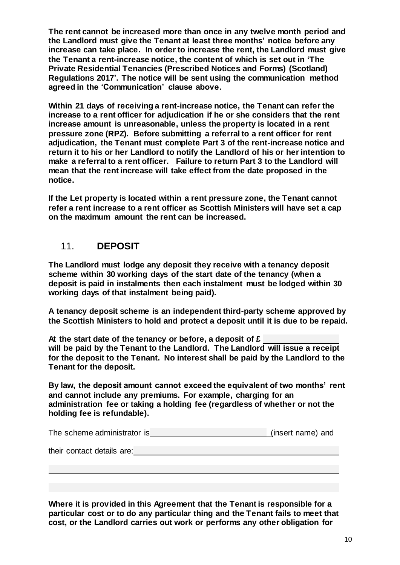**The rent cannot be increased more than once in any twelve month period and the Landlord must give the Tenant at least three months' notice before any increase can take place. In order to increase the rent, the Landlord must give the Tenant a rent-increase notice, the content of which is set out in 'The Private Residential Tenancies (Prescribed Notices and Forms) (Scotland) Regulations 2017'. The notice will be sent using the communication method agreed in the 'Communication' clause above.**

**Within 21 days of receiving a rent-increase notice, the Tenant can refer the increase to a rent officer for adjudication if he or she considers that the rent increase amount is unreasonable, unless the property is located in a rent pressure zone (RPZ). Before submitting a referral to a rent officer for rent adjudication, the Tenant must complete Part 3 of the rent-increase notice and return it to his or her Landlord to notify the Landlord of his or her intention to make a referral to a rent officer. Failure to return Part 3 to the Landlord will mean that the rent increase will take effect from the date proposed in the notice.**

**If the Let property is located within a rent pressure zone, the Tenant cannot refer a rent increase to a rent officer as Scottish Ministers will have set a cap on the maximum amount the rent can be increased.** 

#### <span id="page-12-0"></span>11. **DEPOSIT**

**The Landlord must lodge any deposit they receive with a tenancy deposit scheme within 30 working days of the start date of the tenancy (when a deposit is paid in instalments then each instalment must be lodged within 30 working days of that instalment being paid).** 

**A tenancy deposit scheme is an independent third-party scheme approved by the Scottish Ministers to hold and protect a deposit until it is due to be repaid.** 

**At the start date of the tenancy or before, a deposit of £ will be paid by the Tenant to the Landlord. The Landlord will issue a receipt for the deposit to the Tenant. No interest shall be paid by the Landlord to the Tenant for the deposit.** 

**By law, the deposit amount cannot exceed the equivalent of two months' rent and cannot include any premiums. For example, charging for an administration fee or taking a holding fee (regardless of whether or not the holding fee is refundable).**

| The scheme administrator is | (insert name) and |
|-----------------------------|-------------------|
|                             |                   |

their contact details are:

**Where it is provided in this Agreement that the Tenant is responsible for a particular cost or to do any particular thing and the Tenant fails to meet that cost, or the Landlord carries out work or performs any other obligation for**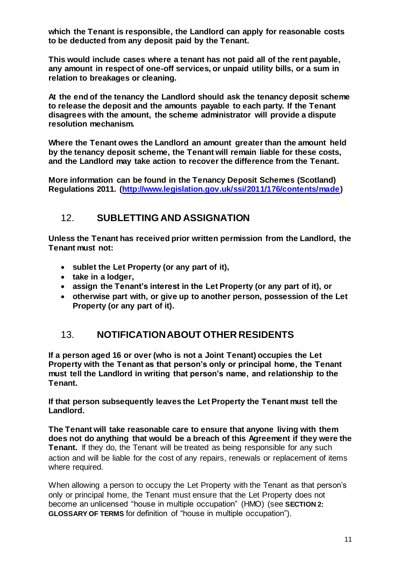**which the Tenant is responsible, the Landlord can apply for reasonable costs to be deducted from any deposit paid by the Tenant.** 

**This would include cases where a tenant has not paid all of the rent payable, any amount in respect of one-off services, or unpaid utility bills, or a sum in relation to breakages or cleaning.**

**At the end of the tenancy the Landlord should ask the tenancy deposit scheme to release the deposit and the amounts payable to each party. If the Tenant disagrees with the amount, the scheme administrator will provide a dispute resolution mechanism.**

**Where the Tenant owes the Landlord an amount greater than the amount held by the tenancy deposit scheme, the Tenant will remain liable for these costs, and the Landlord may take action to recover the difference from the Tenant.**

**More information can be found in the Tenancy Deposit Schemes (Scotland) Regulations 2011. [\(http://www.legislation.gov.uk/ssi/2011/176/contents/made\)](http://www.legislation.gov.uk/ssi/2011/176/contents/made)**

# <span id="page-13-0"></span>12. **SUBLETTING AND ASSIGNATION**

**Unless the Tenant has received prior written permission from the Landlord, the Tenant must not:**

- **sublet the Let Property (or any part of it),**
- **take in a lodger,**
- **assign the Tenant's interest in the Let Property (or any part of it), or**
- **otherwise part with, or give up to another person, possession of the Let Property (or any part of it).**

#### <span id="page-13-1"></span>13. **NOTIFICATION ABOUT OTHER RESIDENTS**

**If a person aged 16 or over (who is not a Joint Tenant) occupies the Let Property with the Tenant as that person's only or principal home, the Tenant must tell the Landlord in writing that person's name, and relationship to the Tenant.**

**If that person subsequently leaves the Let Property the Tenant must tell the Landlord.**

**The Tenant will take reasonable care to ensure that anyone living with them does not do anything that would be a breach of this Agreement if they were the Tenant.** If they do, the Tenant will be treated as being responsible for any such action and will be liable for the cost of any repairs, renewals or replacement of items where required.

When allowing a person to occupy the Let Property with the Tenant as that person's only or principal home, the Tenant must ensure that the Let Property does not become an unlicensed "house in multiple occupation" (HMO) (see **[SECTION 2:](#page-5-0) [GLOSSARY OF TERMS](#page-5-0)** for definition of "house in multiple occupation").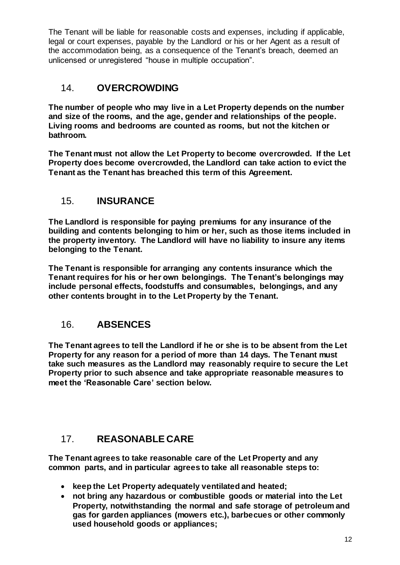The Tenant will be liable for reasonable costs and expenses, including if applicable, legal or court expenses, payable by the Landlord or his or her Agent as a result of the accommodation being, as a consequence of the Tenant's breach, deemed an unlicensed or unregistered "house in multiple occupation".

#### <span id="page-14-0"></span>14. **OVERCROWDING**

**The number of people who may live in a Let Property depends on the number and size of the rooms, and the age, gender and relationships of the people. Living rooms and bedrooms are counted as rooms, but not the kitchen or bathroom.** 

**The Tenant must not allow the Let Property to become overcrowded. If the Let Property does become overcrowded, the Landlord can take action to evict the Tenant as the Tenant has breached this term of this Agreement.** 

# <span id="page-14-1"></span>15. **INSURANCE**

**The Landlord is responsible for paying premiums for any insurance of the building and contents belonging to him or her, such as those items included in the property inventory. The Landlord will have no liability to insure any items belonging to the Tenant.**

**The Tenant is responsible for arranging any contents insurance which the Tenant requires for his or her own belongings. The Tenant's belongings may include personal effects, foodstuffs and consumables, belongings, and any other contents brought in to the Let Property by the Tenant.** 

# <span id="page-14-2"></span>16. **ABSENCES**

**The Tenant agrees to tell the Landlord if he or she is to be absent from the Let Property for any reason for a period of more than 14 days. The Tenant must take such measures as the Landlord may reasonably require to secure the Let Property prior to such absence and take appropriate reasonable measures to meet the 'Reasonable Care' section below.**

# <span id="page-14-3"></span>17. **REASONABLE CARE**

**The Tenant agrees to take reasonable care of the Let Property and any common parts, and in particular agrees to take all reasonable steps to:**

- **keep the Let Property adequately ventilated and heated;**
- **not bring any hazardous or combustible goods or material into the Let Property, notwithstanding the normal and safe storage of petroleum and gas for garden appliances (mowers etc.), barbecues or other commonly used household goods or appliances;**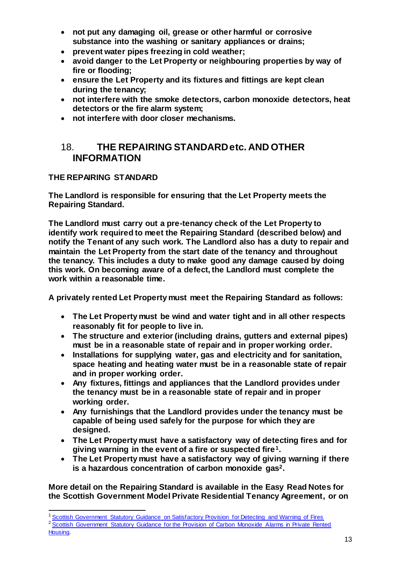- **not put any damaging oil, grease or other harmful or corrosive substance into the washing or sanitary appliances or drains;**
- **prevent water pipes freezing in cold weather;**
- **avoid danger to the Let Property or neighbouring properties by way of fire or flooding;**
- **ensure the Let Property and its fixtures and fittings are kept clean during the tenancy;**
- **not interfere with the smoke detectors, carbon monoxide detectors, heat detectors or the fire alarm system;**
- **not interfere with door closer mechanisms.**

#### <span id="page-15-0"></span>18. **THE REPAIRING STANDARD etc. AND OTHER INFORMATION**

#### <span id="page-15-1"></span>**THE REPAIRING STANDARD**

**The Landlord is responsible for ensuring that the Let Property meets the Repairing Standard.** 

**The Landlord must carry out a pre-tenancy check of the Let Property to identify work required to meet the Repairing Standard (described below) and notify the Tenant of any such work. The Landlord also has a duty to repair and maintain the Let Property from the start date of the tenancy and throughout the tenancy. This includes a duty to make good any damage caused by doing this work. On becoming aware of a defect, the Landlord must complete the work within a reasonable time.**

**A privately rented Let Property must meet the Repairing Standard as follows:**

- **The Let Property must be wind and water tight and in all other respects reasonably fit for people to live in.**
- **The structure and exterior (including drains, gutters and external pipes) must be in a reasonable state of repair and in proper working order.**
- **Installations for supplying water, gas and electricity and for sanitation, space heating and heating water must be in a reasonable state of repair and in proper working order.**
- **Any fixtures, fittings and appliances that the Landlord provides under the tenancy must be in a reasonable state of repair and in proper working order.**
- **Any furnishings that the Landlord provides under the tenancy must be capable of being used safely for the purpose for which they are designed.**
- **The Let Property must have a satisfactory way of detecting fires and for giving warning in the event of a fire or suspected fire1.**
- **The Let Property must have a satisfactory way of giving warning if there is a hazardous concentration of carbon monoxide gas2.**

**More detail on the Repairing Standard is available in the Easy Read Notes for the Scottish Government Model Private Residential Tenancy Agreement, or on** 

Housing.

l <sup>1</sup> [Scottish Government Statutory Guidance on Satisfactory Provision for Detecting and Warning of Fires](https://beta.gov.scot/publications/fire-safety-guidance-private-rented-properties/Housing%20guidance%20on%20satisfactory%20provision%20for%20detecting%20and%20warning%20of%20fires%20-%20Scottish%20Government%20revised%20November%202016.pdf?inline=true)

<sup>&</sup>lt;sup>2</sup> Scottish Government Statutory Guidance for the Provision of Carbon Monoxide Alarms in Private Rented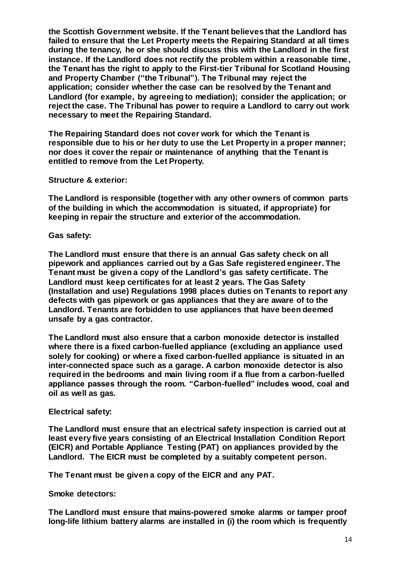**the Scottish Government website. If the Tenant believes that the Landlord has failed to ensure that the Let Property meets the Repairing Standard at all times during the tenancy, he or she should discuss this with the Landlord in the first instance. If the Landlord does not rectify the problem within a reasonable time, the Tenant has the right to apply to the First-tier Tribunal for Scotland Housing and Property Chamber ("the Tribunal"). The Tribunal may reject the application; consider whether the case can be resolved by the Tenant and Landlord (for example, by agreeing to mediation); consider the application; or reject the case. The Tribunal has power to require a Landlord to carry out work necessary to meet the Repairing Standard.**

**The Repairing Standard does not cover work for which the Tenant is responsible due to his or her duty to use the Let Property in a proper manner; nor does it cover the repair or maintenance of anything that the Tenant is entitled to remove from the Let Property.**

**Structure & exterior:**

**The Landlord is responsible (together with any other owners of common parts of the building in which the accommodation is situated, if appropriate) for keeping in repair the structure and exterior of the accommodation.**

**Gas safety:**

**The Landlord must ensure that there is an annual Gas safety check on all pipework and appliances carried out by a Gas Safe registered engineer. The Tenant must be given a copy of the Landlord's gas safety certificate. The Landlord must keep certificates for at least 2 years. The Gas Safety (Installation and use) Regulations 1998 places duties on Tenants to report any defects with gas pipework or gas appliances that they are aware of to the Landlord. Tenants are forbidden to use appliances that have been deemed unsafe by a gas contractor.** 

**The Landlord must also ensure that a carbon monoxide detector is installed where there is a fixed carbon-fuelled appliance (excluding an appliance used solely for cooking) or where a fixed carbon-fuelled appliance is situated in an inter-connected space such as a garage. A carbon monoxide detector is also required in the bedrooms and main living room if a flue from a carbon-fuelled appliance passes through the room. "Carbon-fuelled" includes wood, coal and oil as well as gas.**

#### **Electrical safety:**

**The Landlord must ensure that an electrical safety inspection is carried out at least every five years consisting of an Electrical Installation Condition Report (EICR) and Portable Appliance Testing (PAT) on appliances provided by the Landlord. The EICR must be completed by a suitably competent person.**

**The Tenant must be given a copy of the EICR and any PAT.**

**Smoke detectors:**

**The Landlord must ensure that mains-powered smoke alarms or tamper proof long-life lithium battery alarms are installed in (i) the room which is frequently**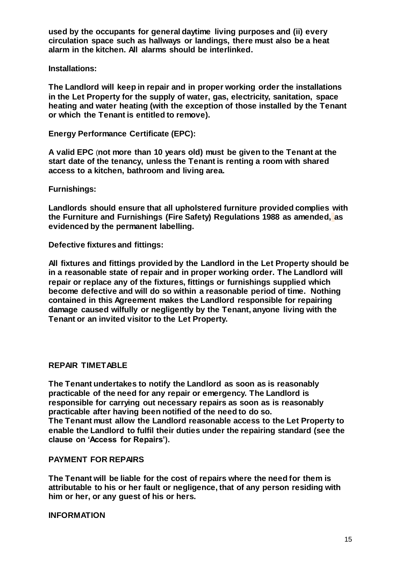**used by the occupants for general daytime living purposes and (ii) every circulation space such as hallways or landings, there must also be a heat alarm in the kitchen. All alarms should be interlinked.**

**Installations:**

**The Landlord will keep in repair and in proper working order the installations in the Let Property for the supply of water, gas, electricity, sanitation, space heating and water heating (with the exception of those installed by the Tenant or which the Tenant is entitled to remove).**

**Energy Performance Certificate (EPC):**

**A valid EPC** (**not more than 10 years old) must be given to the Tenant at the start date of the tenancy, unless the Tenant is renting a room with shared access to a kitchen, bathroom and living area.**

**Furnishings:**

**Landlords should ensure that all upholstered furniture provided complies with the Furniture and Furnishings (Fire Safety) Regulations 1988 as amended, as evidenced by the permanent labelling.** 

**Defective fixtures and fittings:**

**All fixtures and fittings provided by the Landlord in the Let Property should be in a reasonable state of repair and in proper working order. The Landlord will repair or replace any of the fixtures, fittings or furnishings supplied which become defective and will do so within a reasonable period of time. Nothing contained in this Agreement makes the Landlord responsible for repairing damage caused wilfully or negligently by the Tenant, anyone living with the Tenant or an invited visitor to the Let Property.** 

#### <span id="page-17-0"></span>**REPAIR TIMETABLE**

**The Tenant undertakes to notify the Landlord as soon as is reasonably practicable of the need for any repair or emergency. The Landlord is responsible for carrying out necessary repairs as soon as is reasonably practicable after having been notified of the need to do so. The Tenant must allow the Landlord reasonable access to the Let Property to enable the Landlord to fulfil their duties under the repairing standard (see the clause on 'Access for Repairs').** 

#### <span id="page-17-1"></span>**PAYMENT FOR REPAIRS**

**The Tenant will be liable for the cost of repairs where the need for them is attributable to his or her fault or negligence, that of any person residing with him or her, or any guest of his or hers.**

<span id="page-17-2"></span>**INFORMATION**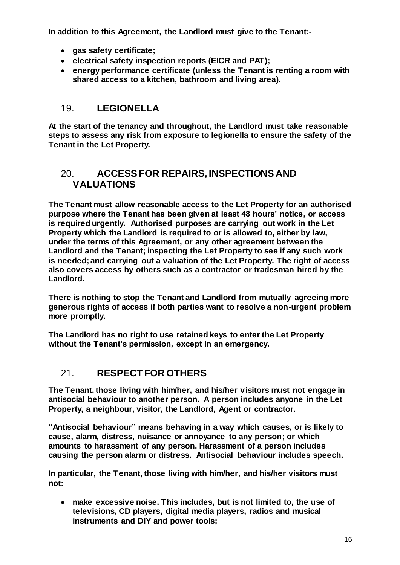**In addition to this Agreement, the Landlord must give to the Tenant:-**

- **gas safety certificate;**
- **electrical safety inspection reports (EICR and PAT);**
- **energy performance certificate (unless the Tenant is renting a room with shared access to a kitchen, bathroom and living area).**

# <span id="page-18-0"></span>19. **LEGIONELLA**

**At the start of the tenancy and throughout, the Landlord must take reasonable steps to assess any risk from exposure to legionella to ensure the safety of the Tenant in the Let Property.**

#### <span id="page-18-1"></span>20. **ACCESS FOR REPAIRS, INSPECTIONS AND VALUATIONS**

**The Tenant must allow reasonable access to the Let Property for an authorised purpose where the Tenant has been given at least 48 hours' notice, or access is required urgently. Authorised purposes are carrying out work in the Let Property which the Landlord is required to or is allowed to, either by law, under the terms of this Agreement, or any other agreement between the Landlord and the Tenant; inspecting the Let Property to see if any such work is needed; and carrying out a valuation of the Let Property. The right of access also covers access by others such as a contractor or tradesman hired by the Landlord.** 

**There is nothing to stop the Tenant and Landlord from mutually agreeing more generous rights of access if both parties want to resolve a non-urgent problem more promptly.** 

**The Landlord has no right to use retained keys to enter the Let Property without the Tenant's permission, except in an emergency.**

# <span id="page-18-2"></span>21. **RESPECT FOR OTHERS**

**The Tenant, those living with him/her, and his/her visitors must not engage in antisocial behaviour to another person. A person includes anyone in the Let Property, a neighbour, visitor, the Landlord, Agent or contractor.** 

**"Antisocial behaviour" means behaving in a way which causes, or is likely to cause, alarm, distress, nuisance or annoyance to any person; or which amounts to harassment of any person. Harassment of a person includes causing the person alarm or distress. Antisocial behaviour includes speech.**

**In particular, the Tenant, those living with him/her, and his/her visitors must not:**

 **make excessive noise. This includes, but is not limited to, the use of televisions, CD players, digital media players, radios and musical instruments and DIY and power tools;**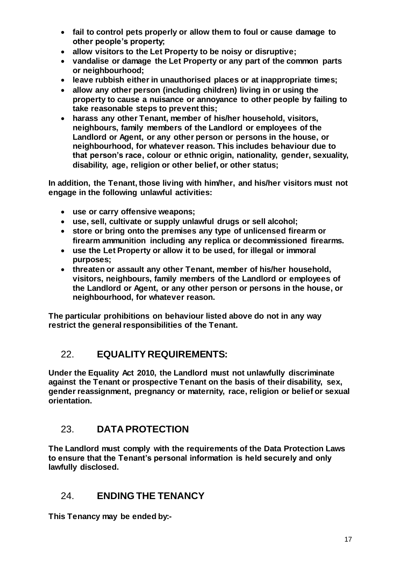- **fail to control pets properly or allow them to foul or cause damage to other people's property;**
- **allow visitors to the Let Property to be noisy or disruptive;**
- **vandalise or damage the Let Property or any part of the common parts or neighbourhood;**
- **leave rubbish either in unauthorised places or at inappropriate times;**
- **allow any other person (including children) living in or using the property to cause a nuisance or annoyance to other people by failing to take reasonable steps to prevent this;**
- **harass any other Tenant, member of his/her household, visitors, neighbours, family members of the Landlord or employees of the Landlord or Agent, or any other person or persons in the house, or neighbourhood, for whatever reason. This includes behaviour due to that person's race, colour or ethnic origin, nationality, gender, sexuality, disability, age, religion or other belief, or other status;**

**In addition, the Tenant, those living with him/her, and his/her visitors must not engage in the following unlawful activities:**

- **use or carry offensive weapons;**
- **use, sell, cultivate or supply unlawful drugs or sell alcohol;**
- **store or bring onto the premises any type of unlicensed firearm or firearm ammunition including any replica or decommissioned firearms.**
- **use the Let Property or allow it to be used, for illegal or immoral purposes;**
- **threaten or assault any other Tenant, member of his/her household, visitors, neighbours, family members of the Landlord or employees of the Landlord or Agent, or any other person or persons in the house, or neighbourhood, for whatever reason.**

**The particular prohibitions on behaviour listed above do not in any way restrict the general responsibilities of the Tenant.**

# <span id="page-19-0"></span>22. **EQUALITY REQUIREMENTS:**

**Under the Equality Act 2010, the Landlord must not unlawfully discriminate against the Tenant or prospective Tenant on the basis of their disability, sex, gender reassignment, pregnancy or maternity, race, religion or belief or sexual orientation.**

# <span id="page-19-1"></span>23. **DATA PROTECTION**

**The Landlord must comply with the requirements of the Data Protection Laws to ensure that the Tenant's personal information is held securely and only lawfully disclosed.**

#### <span id="page-19-2"></span>24. **ENDING THE TENANCY**

**This Tenancy may be ended by:-**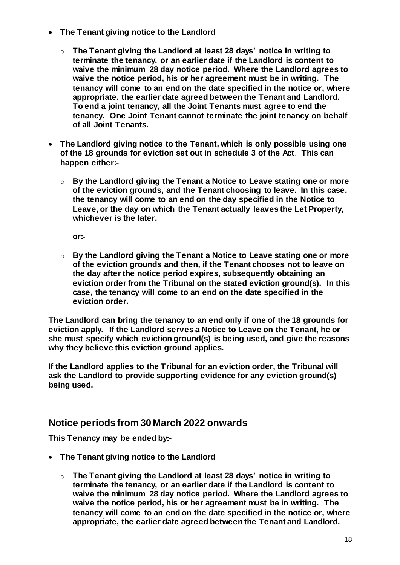- **The Tenant giving notice to the Landlord**
	- o **The Tenant giving the Landlord at least 28 days' notice in writing to terminate the tenancy, or an earlier date if the Landlord is content to waive the minimum 28 day notice period. Where the Landlord agrees to waive the notice period, his or her agreement must be in writing. The tenancy will come to an end on the date specified in the notice or, where appropriate, the earlier date agreed between the Tenant and Landlord. To end a joint tenancy, all the Joint Tenants must agree to end the tenancy. One Joint Tenant cannot terminate the joint tenancy on behalf of all Joint Tenants.**
- **The Landlord giving notice to the Tenant, which is only possible using one of the 18 grounds for eviction set out in schedule 3 of the Act**. **This can happen either:**
	- o **By the Landlord giving the Tenant a Notice to Leave stating one or more of the eviction grounds, and the Tenant choosing to leave. In this case, the tenancy will come to an end on the day specified in the Notice to Leave, or the day on which the Tenant actually leaves the Let Property, whichever is the later.**

**or:-**

o **By the Landlord giving the Tenant a Notice to Leave stating one or more of the eviction grounds and then, if the Tenant chooses not to leave on the day after the notice period expires, subsequently obtaining an eviction order from the Tribunal on the stated eviction ground(s). In this case, the tenancy will come to an end on the date specified in the eviction order.** 

**The Landlord can bring the tenancy to an end only if one of the 18 grounds for eviction apply. If the Landlord serves a Notice to Leave on the Tenant, he or she must specify which eviction ground(s) is being used, and give the reasons why they believe this eviction ground applies.** 

**If the Landlord applies to the Tribunal for an eviction order, the Tribunal will ask the Landlord to provide supporting evidence for any eviction ground(s) being used.**

#### **Notice periods from 30 March 2022 onwards**

**This Tenancy may be ended by:-**

- **The Tenant giving notice to the Landlord**
	- o **The Tenant giving the Landlord at least 28 days' notice in writing to terminate the tenancy, or an earlier date if the Landlord is content to waive the minimum 28 day notice period. Where the Landlord agrees to waive the notice period, his or her agreement must be in writing. The tenancy will come to an end on the date specified in the notice or, where appropriate, the earlier date agreed between the Tenant and Landlord.**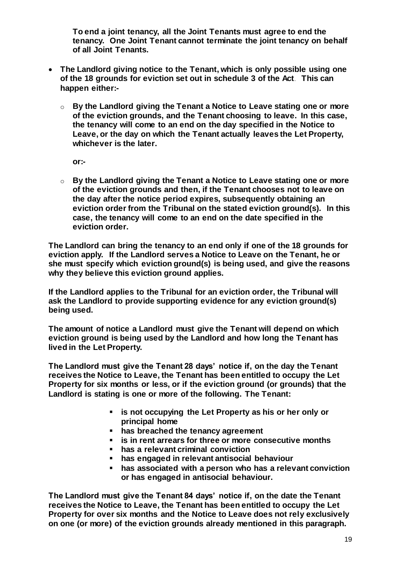**To end a joint tenancy, all the Joint Tenants must agree to end the tenancy. One Joint Tenant cannot terminate the joint tenancy on behalf of all Joint Tenants.** 

- **The Landlord giving notice to the Tenant, which is only possible using one of the 18 grounds for eviction set out in schedule 3 of the Act**. **This can happen either:**
	- o **By the Landlord giving the Tenant a Notice to Leave stating one or more of the eviction grounds, and the Tenant choosing to leave. In this case, the tenancy will come to an end on the day specified in the Notice to Leave, or the day on which the Tenant actually leaves the Let Property, whichever is the later.**

**or:-**

o **By the Landlord giving the Tenant a Notice to Leave stating one or more of the eviction grounds and then, if the Tenant chooses not to leave on the day after the notice period expires, subsequently obtaining an eviction order from the Tribunal on the stated eviction ground(s). In this case, the tenancy will come to an end on the date specified in the eviction order.** 

**The Landlord can bring the tenancy to an end only if one of the 18 grounds for eviction apply. If the Landlord serves a Notice to Leave on the Tenant, he or she must specify which eviction ground(s) is being used, and give the reasons why they believe this eviction ground applies.** 

**If the Landlord applies to the Tribunal for an eviction order, the Tribunal will ask the Landlord to provide supporting evidence for any eviction ground(s) being used.**

**The amount of notice a Landlord must give the Tenant will depend on which eviction ground is being used by the Landlord and how long the Tenant has lived in the Let Property.** 

**The Landlord must give the Tenant 28 days' notice if, on the day the Tenant receives the Notice to Leave, the Tenant has been entitled to occupy the Let Property for six months or less, or if the eviction ground (or grounds) that the Landlord is stating is one or more of the following. The Tenant:** 

- **is not occupying the Let Property as his or her only or principal home**
- **has breached the tenancy agreement**
- **is in rent arrears for three or more consecutive months**
- **has a relevant criminal conviction**
- **has engaged in relevant antisocial behaviour**
- **has associated with a person who has a relevant conviction or has engaged in antisocial behaviour.**

**The Landlord must give the Tenant 84 days' notice if, on the date the Tenant receives the Notice to Leave, the Tenant has been entitled to occupy the Let Property for over six months and the Notice to Leave does not rely exclusively on one (or more) of the eviction grounds already mentioned in this paragraph.**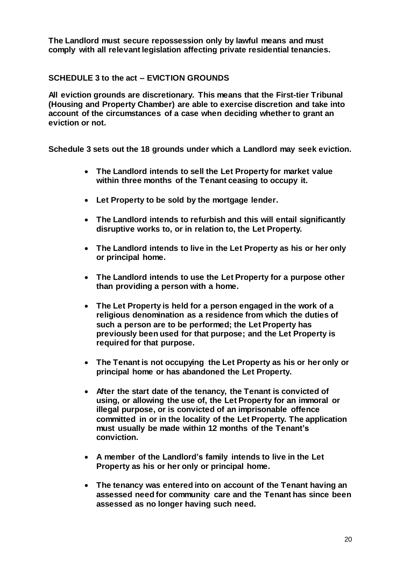**The Landlord must secure repossession only by lawful means and must comply with all relevant legislation affecting private residential tenancies.** 

#### **SCHEDULE 3 to the act – EVICTION GROUNDS**

**All eviction grounds are discretionary. This means that the First-tier Tribunal (Housing and Property Chamber) are able to exercise discretion and take into account of the circumstances of a case when deciding whether to grant an eviction or not.** 

**Schedule 3 sets out the 18 grounds under which a Landlord may seek eviction.** 

- **The Landlord intends to sell the Let Property for market value within three months of the Tenant ceasing to occupy it.**
- **Let Property to be sold by the mortgage lender.**
- **The Landlord intends to refurbish and this will entail significantly disruptive works to, or in relation to, the Let Property.**
- **The Landlord intends to live in the Let Property as his or her only or principal home.**
- **The Landlord intends to use the Let Property for a purpose other than providing a person with a home.**
- **The Let Property is held for a person engaged in the work of a religious denomination as a residence from which the duties of such a person are to be performed; the Let Property has previously been used for that purpose; and the Let Property is required for that purpose.**
- **The Tenant is not occupying the Let Property as his or her only or principal home or has abandoned the Let Property.**
- **After the start date of the tenancy, the Tenant is convicted of using, or allowing the use of, the Let Property for an immoral or illegal purpose, or is convicted of an imprisonable offence committed in or in the locality of the Let Property. The application must usually be made within 12 months of the Tenant's conviction.**
- **A member of the Landlord's family intends to live in the Let Property as his or her only or principal home.**
- **The tenancy was entered into on account of the Tenant having an assessed need for community care and the Tenant has since been assessed as no longer having such need.**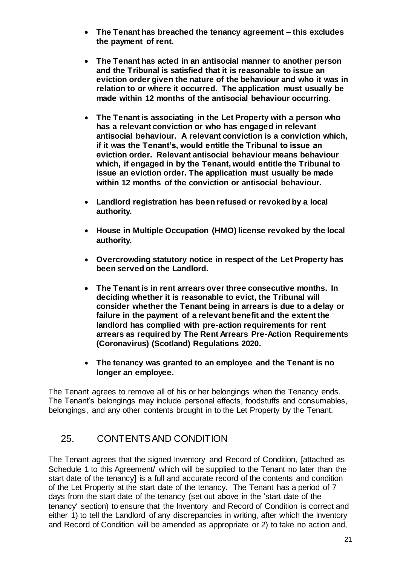- **The Tenant has breached the tenancy agreement – this excludes the payment of rent.**
- **The Tenant has acted in an antisocial manner to another person and the Tribunal is satisfied that it is reasonable to issue an eviction order given the nature of the behaviour and who it was in relation to or where it occurred. The application must usually be made within 12 months of the antisocial behaviour occurring.**
- **The Tenant is associating in the Let Property with a person who has a relevant conviction or who has engaged in relevant antisocial behaviour. A relevant conviction is a conviction which, if it was the Tenant's, would entitle the Tribunal to issue an eviction order. Relevant antisocial behaviour means behaviour which, if engaged in by the Tenant, would entitle the Tribunal to issue an eviction order. The application must usually be made within 12 months of the conviction or antisocial behaviour.**
- **Landlord registration has been refused or revoked by a local authority.**
- **House in Multiple Occupation (HMO) license revoked by the local authority.**
- **Overcrowding statutory notice in respect of the Let Property has been served on the Landlord.**
- **The Tenant is in rent arrears over three consecutive months. In deciding whether it is reasonable to evict, the Tribunal will consider whether the Tenant being in arrears is due to a delay or failure in the payment of a relevant benefit and the extent the landlord has complied with pre-action requirements for rent arrears as required by The Rent Arrears Pre-Action Requirements (Coronavirus) (Scotland) Regulations 2020.**
- **The tenancy was granted to an employee and the Tenant is no longer an employee.**

The Tenant agrees to remove all of his or her belongings when the Tenancy ends. The Tenant's belongings may include personal effects, foodstuffs and consumables, belongings, and any other contents brought in to the Let Property by the Tenant.

# <span id="page-23-0"></span>25. CONTENTS AND CONDITION

The Tenant agrees that the signed Inventory and Record of Condition, [attached as Schedule 1 to this Agreement/ which will be supplied to the Tenant no later than the start date of the tenancy] is a full and accurate record of the contents and condition of the Let Property at the start date of the tenancy. The Tenant has a period of 7 days from the start date of the tenancy (set out above in the 'start date of the tenancy' section) to ensure that the Inventory and Record of Condition is correct and either 1) to tell the Landlord of any discrepancies in writing, after which the Inventory and Record of Condition will be amended as appropriate or 2) to take no action and,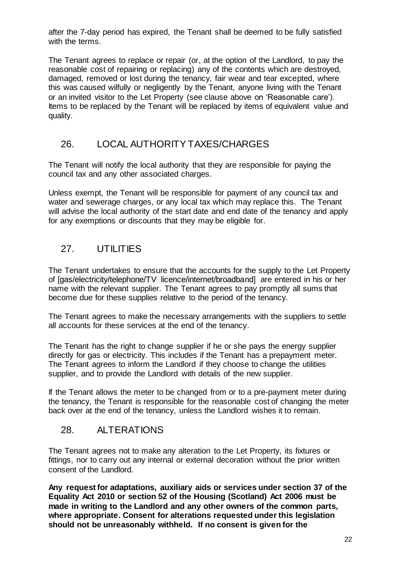after the 7-day period has expired, the Tenant shall be deemed to be fully satisfied with the terms.

The Tenant agrees to replace or repair (or, at the option of the Landlord, to pay the reasonable cost of repairing or replacing) any of the contents which are destroyed, damaged, removed or lost during the tenancy, fair wear and tear excepted, where this was caused wilfully or negligently by the Tenant, anyone living with the Tenant or an invited visitor to the Let Property (see clause above on 'Reasonable care'). Items to be replaced by the Tenant will be replaced by items of equivalent value and quality.

#### <span id="page-24-0"></span>26. LOCAL AUTHORITY TAXES/CHARGES

The Tenant will notify the local authority that they are responsible for paying the council tax and any other associated charges.

Unless exempt, the Tenant will be responsible for payment of any council tax and water and sewerage charges, or any local tax which may replace this. The Tenant will advise the local authority of the start date and end date of the tenancy and apply for any exemptions or discounts that they may be eligible for.

# <span id="page-24-1"></span>27. UTILITIES

The Tenant undertakes to ensure that the accounts for the supply to the Let Property of [gas/electricity/telephone/TV licence/internet/broadband] are entered in his or her name with the relevant supplier. The Tenant agrees to pay promptly all sums that become due for these supplies relative to the period of the tenancy.

The Tenant agrees to make the necessary arrangements with the suppliers to settle all accounts for these services at the end of the tenancy.

The Tenant has the right to change supplier if he or she pays the energy supplier directly for gas or electricity. This includes if the Tenant has a prepayment meter. The Tenant agrees to inform the Landlord if they choose to change the utilities supplier, and to provide the Landlord with details of the new supplier.

If the Tenant allows the meter to be changed from or to a pre-payment meter during the tenancy, the Tenant is responsible for the reasonable cost of changing the meter back over at the end of the tenancy, unless the Landlord wishes it to remain.

# <span id="page-24-2"></span>28. ALTERATIONS

The Tenant agrees not to make any alteration to the Let Property, its fixtures or fittings, nor to carry out any internal or external decoration without the prior written consent of the Landlord.

**Any request for adaptations, auxiliary aids or services under section 37 of the Equality Act 2010 or section 52 of the Housing (Scotland) Act 2006 must be made in writing to the Landlord and any other owners of the common parts, where appropriate. Consent for alterations requested under this legislation should not be unreasonably withheld. If no consent is given for the**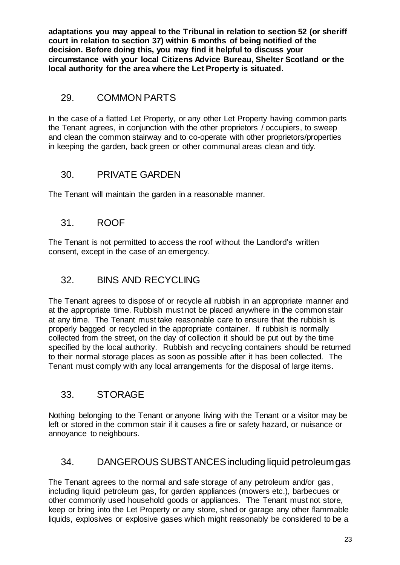**adaptations you may appeal to the Tribunal in relation to section 52 (or sheriff court in relation to section 37) within 6 months of being notified of the decision. Before doing this, you may find it helpful to discuss your circumstance with your local Citizens Advice Bureau, Shelter Scotland or the local authority for the area where the Let Property is situated.**

# <span id="page-25-0"></span>29. COMMON PARTS

In the case of a flatted Let Property, or any other Let Property having common parts the Tenant agrees, in conjunction with the other proprietors / occupiers, to sweep and clean the common stairway and to co-operate with other proprietors/properties in keeping the garden, back green or other communal areas clean and tidy.

# <span id="page-25-1"></span>30. PRIVATE GARDEN

The Tenant will maintain the garden in a reasonable manner.

# <span id="page-25-2"></span>31. ROOF

The Tenant is not permitted to access the roof without the Landlord's written consent, except in the case of an emergency.

# <span id="page-25-3"></span>32. BINS AND RECYCLING

The Tenant agrees to dispose of or recycle all rubbish in an appropriate manner and at the appropriate time. Rubbish must not be placed anywhere in the common stair at any time. The Tenant must take reasonable care to ensure that the rubbish is properly bagged or recycled in the appropriate container. If rubbish is normally collected from the street, on the day of collection it should be put out by the time specified by the local authority. Rubbish and recycling containers should be returned to their normal storage places as soon as possible after it has been collected. The Tenant must comply with any local arrangements for the disposal of large items.

# <span id="page-25-4"></span>33. STORAGE

Nothing belonging to the Tenant or anyone living with the Tenant or a visitor may be left or stored in the common stair if it causes a fire or safety hazard, or nuisance or annoyance to neighbours.

# <span id="page-25-5"></span>34. DANGEROUS SUBSTANCESincluding liquid petroleum gas

The Tenant agrees to the normal and safe storage of any petroleum and/or gas, including liquid petroleum gas, for garden appliances (mowers etc.), barbecues or other commonly used household goods or appliances. The Tenant must not store, keep or bring into the Let Property or any store, shed or garage any other flammable liquids, explosives or explosive gases which might reasonably be considered to be a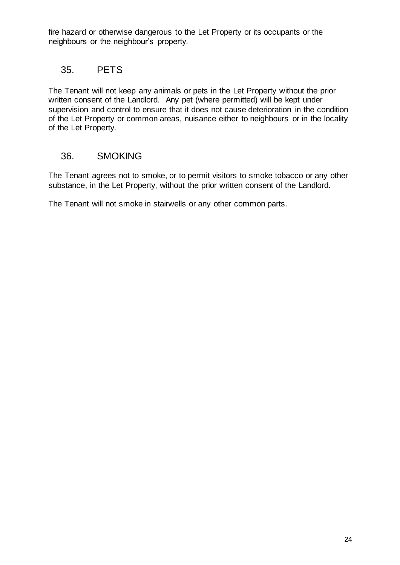fire hazard or otherwise dangerous to the Let Property or its occupants or the neighbours or the neighbour's property.

#### <span id="page-26-0"></span>35. PETS

The Tenant will not keep any animals or pets in the Let Property without the prior written consent of the Landlord. Any pet (where permitted) will be kept under supervision and control to ensure that it does not cause deterioration in the condition of the Let Property or common areas, nuisance either to neighbours or in the locality of the Let Property.

#### <span id="page-26-1"></span>36. SMOKING

The Tenant agrees not to smoke, or to permit visitors to smoke tobacco or any other substance, in the Let Property, without the prior written consent of the Landlord.

The Tenant will not smoke in stairwells or any other common parts.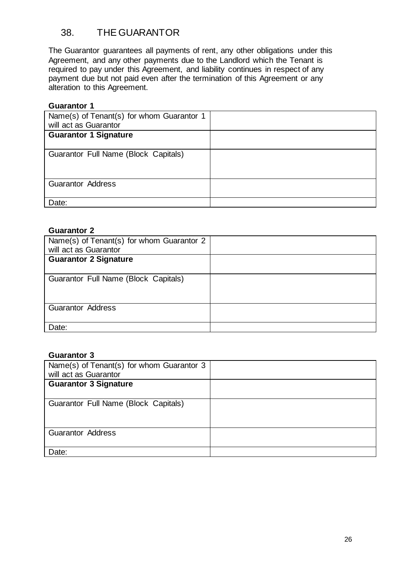# <span id="page-28-0"></span>38. THE GUARANTOR

The Guarantor guarantees all payments of rent, any other obligations under this Agreement, and any other payments due to the Landlord which the Tenant is required to pay under this Agreement, and liability continues in respect of any payment due but not paid even after the termination of this Agreement or any alteration to this Agreement.

#### **Guarantor 1**

| Name(s) of Tenant(s) for whom Guarantor 1 |  |
|-------------------------------------------|--|
| will act as Guarantor                     |  |
| <b>Guarantor 1 Signature</b>              |  |
|                                           |  |
| Guarantor Full Name (Block Capitals)      |  |
|                                           |  |
|                                           |  |
| <b>Guarantor Address</b>                  |  |
|                                           |  |
| Date:                                     |  |

#### **Guarantor 2**

| Name(s) of Tenant(s) for whom Guarantor 2<br>will act as Guarantor |  |
|--------------------------------------------------------------------|--|
| <b>Guarantor 2 Signature</b>                                       |  |
| Guarantor Full Name (Block Capitals)                               |  |
| <b>Guarantor Address</b>                                           |  |
| Date:                                                              |  |

#### **Guarantor 3**

| Name(s) of Tenant(s) for whom Guarantor 3<br>will act as Guarantor |  |
|--------------------------------------------------------------------|--|
| <b>Guarantor 3 Signature</b>                                       |  |
| Guarantor Full Name (Block Capitals)                               |  |
| <b>Guarantor Address</b>                                           |  |
| Date:                                                              |  |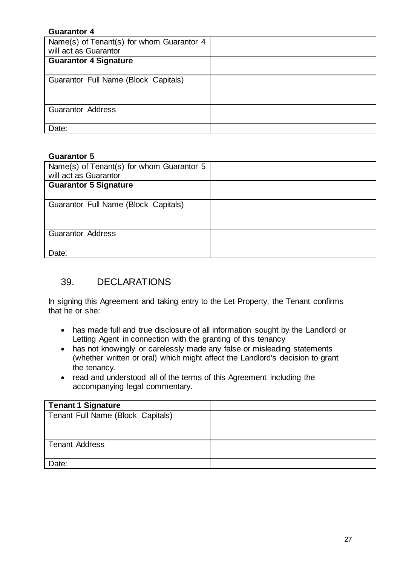| Name(s) of Tenant(s) for whom Guarantor 4 |
|-------------------------------------------|

#### **Guarantor 5**

| Name(s) of Tenant(s) for whom Guarantor 5<br>will act as Guarantor |  |
|--------------------------------------------------------------------|--|
| <b>Guarantor 5 Signature</b>                                       |  |
| Guarantor Full Name (Block Capitals)                               |  |
| <b>Guarantor Address</b>                                           |  |
| Date:                                                              |  |

#### <span id="page-29-0"></span>39. DECLARATIONS

In signing this Agreement and taking entry to the Let Property, the Tenant confirms that he or she:

- has made full and true disclosure of all information sought by the Landlord or Letting Agent in connection with the granting of this tenancy
- has not knowingly or carelessly made any false or misleading statements (whether written or oral) which might affect the Landlord's decision to grant the tenancy.
- read and understood all of the terms of this Agreement including the accompanying legal commentary.

| <b>Tenant 1 Signature</b>         |  |
|-----------------------------------|--|
| Tenant Full Name (Block Capitals) |  |
|                                   |  |
|                                   |  |
| <b>Tenant Address</b>             |  |
|                                   |  |
| Date:                             |  |